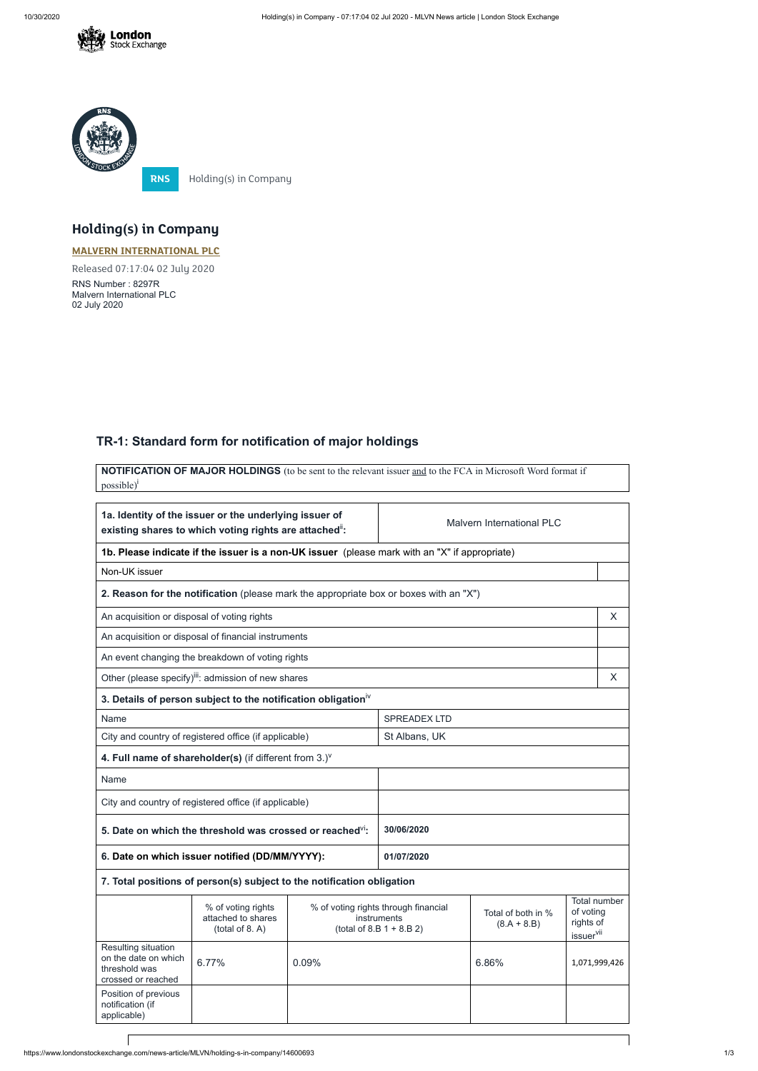



**RNS** Holding(s) in Company

**NOTIFICATION OF MAJOR HOLDINGS** (to be sent to the relevant issuer and to the FCA in Microsoft Word format if possible)<sup>i</sup>

## **Holding(s) in Company**

## **MALVERN [INTERNATIONAL](https://www.londonstockexchange.com/stock/MLVN/malvern-international-plc) PLC**

Released 07:17:04 02 July 2020

RNS Number : 8297R Malvern International PLC 02 July 2020

## **TR-1: Standard form for notification of major holdings**

| 1a. Identity of the issuer or the underlying issuer of<br>existing shares to which voting rights are attached": |                                                                                               |                                                                                                                           | <b>Malvern International PLC</b> |                                                 |              |               |
|-----------------------------------------------------------------------------------------------------------------|-----------------------------------------------------------------------------------------------|---------------------------------------------------------------------------------------------------------------------------|----------------------------------|-------------------------------------------------|--------------|---------------|
|                                                                                                                 | 1b. Please indicate if the issuer is a non-UK issuer (please mark with an "X" if appropriate) |                                                                                                                           |                                  |                                                 |              |               |
| Non-UK issuer                                                                                                   |                                                                                               |                                                                                                                           |                                  |                                                 |              |               |
|                                                                                                                 | 2. Reason for the notification (please mark the appropriate box or boxes with an "X")         |                                                                                                                           |                                  |                                                 |              |               |
| An acquisition or disposal of voting rights                                                                     |                                                                                               |                                                                                                                           |                                  |                                                 |              | X             |
|                                                                                                                 | An acquisition or disposal of financial instruments                                           |                                                                                                                           |                                  |                                                 |              |               |
|                                                                                                                 | An event changing the breakdown of voting rights                                              |                                                                                                                           |                                  |                                                 |              |               |
|                                                                                                                 | Other (please specify) <sup>iii</sup> : admission of new shares                               |                                                                                                                           |                                  |                                                 |              | X             |
|                                                                                                                 | 3. Details of person subject to the notification obligation <sup>iv</sup>                     |                                                                                                                           |                                  |                                                 |              |               |
| Name                                                                                                            |                                                                                               |                                                                                                                           | <b>SPREADEX LTD</b>              |                                                 |              |               |
|                                                                                                                 | St Albans, UK<br>City and country of registered office (if applicable)                        |                                                                                                                           |                                  |                                                 |              |               |
|                                                                                                                 | 4. Full name of shareholder(s) (if different from $3.$ )                                      |                                                                                                                           |                                  |                                                 |              |               |
| Name                                                                                                            |                                                                                               |                                                                                                                           |                                  |                                                 |              |               |
|                                                                                                                 | City and country of registered office (if applicable)                                         |                                                                                                                           |                                  |                                                 |              |               |
|                                                                                                                 | 5. Date on which the threshold was crossed or reached <sup>VI</sup> :                         |                                                                                                                           | 30/06/2020                       |                                                 |              |               |
|                                                                                                                 | 6. Date on which issuer notified (DD/MM/YYYY):                                                |                                                                                                                           | 01/07/2020                       |                                                 |              |               |
|                                                                                                                 | 7. Total positions of person(s) subject to the notification obligation                        |                                                                                                                           |                                  |                                                 |              |               |
|                                                                                                                 | % of voting rights<br>attached to shares<br>(total of 8. A)                                   | % of voting rights through financial<br>Total of both in %<br>instruments<br>$(8.A + 8.B)$<br>(total of 8.B $1 + 8.B 2$ ) |                                  | of voting<br>rights of<br>issuer <sup>vii</sup> | Total number |               |
| Resulting situation<br>on the date on which<br>threshold was<br>crossed or reached                              | 6.77%                                                                                         | 0.09%                                                                                                                     |                                  | 6.86%                                           |              | 1,071,999,426 |
| Position of previous<br>notification (if<br>applicable)                                                         |                                                                                               |                                                                                                                           |                                  |                                                 |              |               |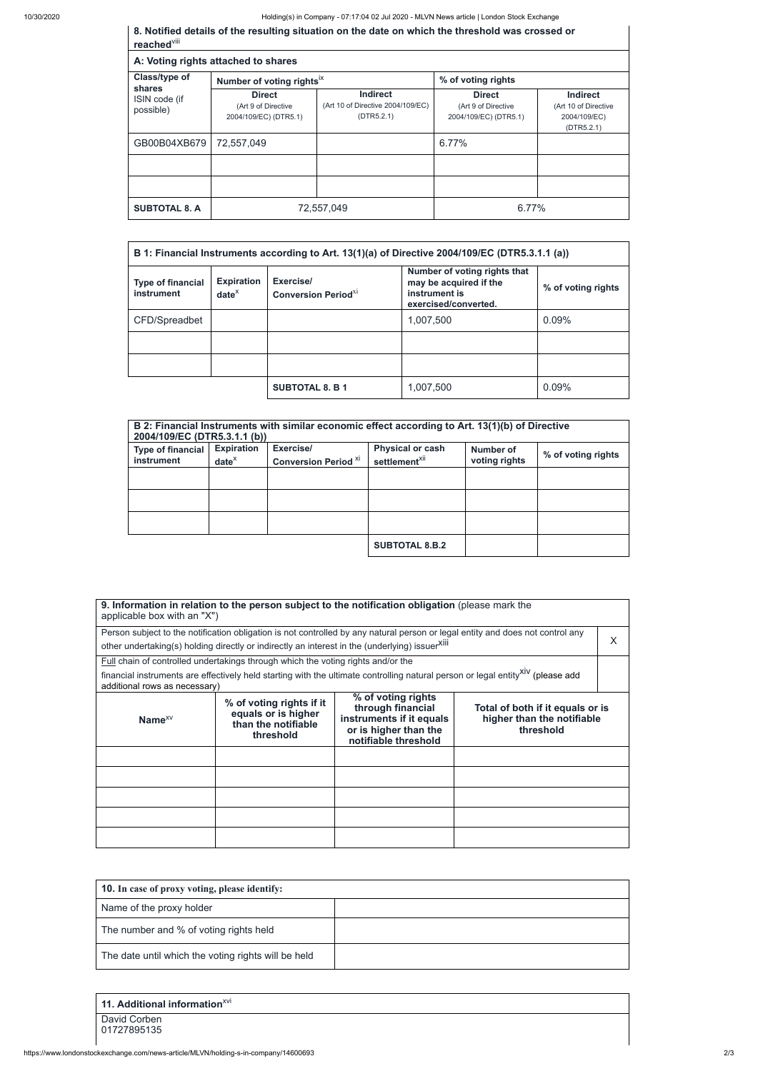10/30/2020 Holding(s) in Company - 07:17:04 02 Jul 2020 - MLVN News article | London Stock Exchange

**8. Notified details of the resulting situation on the date on which the threshold was crossed or**

| reached <sup>viii</sup>              |                                                               |                                                             |                                                               |                                                                       |  |  |
|--------------------------------------|---------------------------------------------------------------|-------------------------------------------------------------|---------------------------------------------------------------|-----------------------------------------------------------------------|--|--|
|                                      | A: Voting rights attached to shares                           |                                                             |                                                               |                                                                       |  |  |
| Class/type of                        | Number of voting rights <sup>ix</sup>                         |                                                             | % of voting rights                                            |                                                                       |  |  |
| shares<br>ISIN code (if<br>possible) | <b>Direct</b><br>(Art 9 of Directive<br>2004/109/EC) (DTR5.1) | Indirect<br>(Art 10 of Directive 2004/109/EC)<br>(DTR5.2.1) | <b>Direct</b><br>(Art 9 of Directive<br>2004/109/EC) (DTR5.1) | <b>Indirect</b><br>(Art 10 of Directive<br>2004/109/EC)<br>(DTR5.2.1) |  |  |
| GB00B04XB679                         | 72,557,049                                                    |                                                             | 6.77%                                                         |                                                                       |  |  |
|                                      |                                                               |                                                             |                                                               |                                                                       |  |  |
|                                      |                                                               |                                                             |                                                               |                                                                       |  |  |
| <b>SUBTOTAL 8. A</b>                 |                                                               | 72,557,049                                                  | 6.77%                                                         |                                                                       |  |  |

| B 1: Financial Instruments according to Art. 13(1)(a) of Directive 2004/109/EC (DTR5.3.1.1 (a)) |                                    |                                                     |                                                                                                 |                    |
|-------------------------------------------------------------------------------------------------|------------------------------------|-----------------------------------------------------|-------------------------------------------------------------------------------------------------|--------------------|
| <b>Type of financial</b><br>instrument                                                          | <b>Expiration</b><br>$date^{\chi}$ | Exercise/<br><b>Conversion Period</b> <sup>X1</sup> | Number of voting rights that<br>may be acquired if the<br>instrument is<br>exercised/converted. | % of voting rights |
| CFD/Spreadbet                                                                                   |                                    |                                                     | 1,007,500                                                                                       | 0.09%              |
|                                                                                                 |                                    |                                                     |                                                                                                 |                    |
|                                                                                                 |                                    |                                                     |                                                                                                 |                    |
|                                                                                                 |                                    | <b>SUBTOTAL 8. B 1</b>                              | 1,007,500                                                                                       | 0.09%              |

| 2004/109/EC (DTR5.3.1.1 (b))           |                               | B 2: Financial Instruments with similar economic effect according to Art. 13(1)(b) of Directive |                                                      |                            |                    |
|----------------------------------------|-------------------------------|-------------------------------------------------------------------------------------------------|------------------------------------------------------|----------------------------|--------------------|
| <b>Type of financial</b><br>instrument | <b>Expiration</b><br>$date^x$ | Exercise/<br><b>Conversion Period XI</b>                                                        | <b>Physical or cash</b><br>settlement <sup>xii</sup> | Number of<br>voting rights | % of voting rights |
|                                        |                               |                                                                                                 |                                                      |                            |                    |
|                                        |                               |                                                                                                 |                                                      |                            |                    |
|                                        |                               |                                                                                                 |                                                      |                            |                    |
|                                        |                               |                                                                                                 | <b>SUBTOTAL 8.B.2</b>                                |                            |                    |

| applicable box with an "X")   |                                                                                                | 9. Information in relation to the person subject to the notification obligation (please mark the                     |                                                                                                                                             |  |
|-------------------------------|------------------------------------------------------------------------------------------------|----------------------------------------------------------------------------------------------------------------------|---------------------------------------------------------------------------------------------------------------------------------------------|--|
|                               |                                                                                                |                                                                                                                      | Person subject to the notification obligation is not controlled by any natural person or legal entity and does not control any              |  |
|                               | other undertaking(s) holding directly or indirectly an interest in the (underlying) issuerXIII |                                                                                                                      |                                                                                                                                             |  |
|                               | <b>Full</b> chain of controlled undertakings through which the voting rights and/or the        |                                                                                                                      |                                                                                                                                             |  |
| additional rows as necessary) |                                                                                                |                                                                                                                      | financial instruments are effectively held starting with the ultimate controlling natural person or legal entity <sup>XIV</sup> (please add |  |
| Name $^{XV}$                  | % of voting rights if it<br>equals or is higher<br>than the notifiable<br>threshold            | % of voting rights<br>through financial<br>instruments if it equals<br>or is higher than the<br>notifiable threshold | Total of both if it equals or is<br>higher than the notifiable<br>threshold                                                                 |  |
|                               |                                                                                                |                                                                                                                      |                                                                                                                                             |  |
|                               |                                                                                                |                                                                                                                      |                                                                                                                                             |  |
|                               |                                                                                                |                                                                                                                      |                                                                                                                                             |  |

| the contract of the contract of the contract of the contract of the contract of |  |
|---------------------------------------------------------------------------------|--|
|                                                                                 |  |

| <b>10.</b> In case of proxy voting, please identify: |  |  |
|------------------------------------------------------|--|--|
| Name of the proxy holder                             |  |  |
| The number and % of voting rights held               |  |  |
| The date until which the voting rights will be held  |  |  |

| 11. Additional information <sup><math>XVI</math></sup> |  |
|--------------------------------------------------------|--|
| David Corben<br>01727895135                            |  |